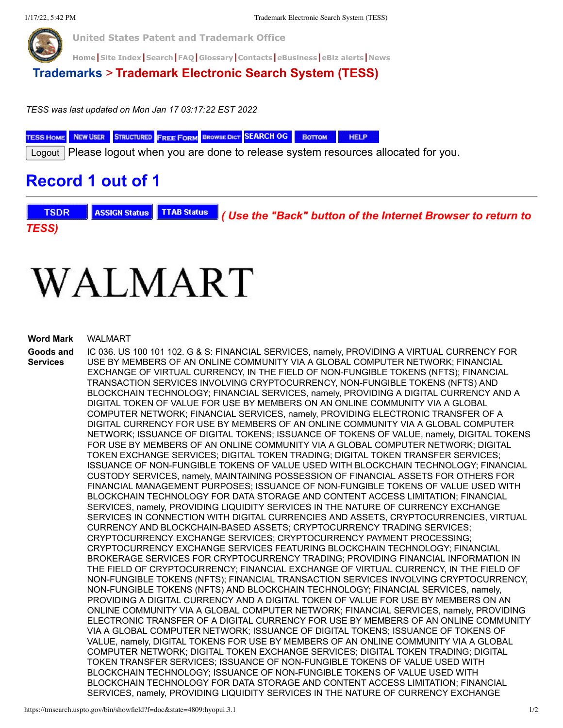

**United States Patent and Trademark Office**

**[Home](https://www.uspto.gov/)|[Site Index](https://www.uspto.gov/sitemap)|[Search](https://search.uspto.gov/search?utf8=%E2%9C%93&affiliate=web-sdmg-uspto.gov&sort_by=&query=uspto+search)|[FAQ](https://www.uspto.gov/learning-and-resources/general-faqs)|[Glossary](https://www.uspto.gov/learning-and-resources/glossary)|[Contacts](https://www.uspto.gov/about-us/contact-us)|***e***[Business](https://www.uspto.gov/learning-and-resources/support-centers/patent-electronic-business-center)|[eBiz alerts](https://www.uspto.gov/blog/ebiz/)|[News](https://www.uspto.gov/about-us/news-updates)**

## **[Trademarks](https://www.uspto.gov/trademark)** > **Trademark Electronic Search System (TESS)**

*TESS was last updated on Mon Jan 17 03:17:22 EST 2022*

**TESS HOME** NEW USER STRUCTURED FREE FORM BROWSE DICT SEARCH OG **HELP** Воттом

Logout | Please logout when you are done to release system resources allocated for you.

## **Record 1 out of 1**

**TSDR ASSIGN Status TTAB Status**  *( Use the "Back" button of the Internet Browser to return to TESS)*

## WALMART

## **Word Mark** WALMART

**Goods and Services** IC 036. US 100 101 102. G & S: FINANCIAL SERVICES, namely, PROVIDING A VIRTUAL CURRENCY FOR USE BY MEMBERS OF AN ONLINE COMMUNITY VIA A GLOBAL COMPUTER NETWORK; FINANCIAL EXCHANGE OF VIRTUAL CURRENCY, IN THE FIELD OF NON-FUNGIBLE TOKENS (NFTS); FINANCIAL TRANSACTION SERVICES INVOLVING CRYPTOCURRENCY, NON-FUNGIBLE TOKENS (NFTS) AND BLOCKCHAIN TECHNOLOGY; FINANCIAL SERVICES, namely, PROVIDING A DIGITAL CURRENCY AND A DIGITAL TOKEN OF VALUE FOR USE BY MEMBERS ON AN ONLINE COMMUNITY VIA A GLOBAL COMPUTER NETWORK; FINANCIAL SERVICES, namely, PROVIDING ELECTRONIC TRANSFER OF A DIGITAL CURRENCY FOR USE BY MEMBERS OF AN ONLINE COMMUNITY VIA A GLOBAL COMPUTER NETWORK; ISSUANCE OF DIGITAL TOKENS; ISSUANCE OF TOKENS OF VALUE, namely, DIGITAL TOKENS FOR USE BY MEMBERS OF AN ONLINE COMMUNITY VIA A GLOBAL COMPUTER NETWORK; DIGITAL TOKEN EXCHANGE SERVICES; DIGITAL TOKEN TRADING; DIGITAL TOKEN TRANSFER SERVICES; ISSUANCE OF NON-FUNGIBLE TOKENS OF VALUE USED WITH BLOCKCHAIN TECHNOLOGY; FINANCIAL CUSTODY SERVICES, namely, MAINTAINING POSSESSION OF FINANCIAL ASSETS FOR OTHERS FOR FINANCIAL MANAGEMENT PURPOSES; ISSUANCE OF NON-FUNGIBLE TOKENS OF VALUE USED WITH BLOCKCHAIN TECHNOLOGY FOR DATA STORAGE AND CONTENT ACCESS LIMITATION; FINANCIAL SERVICES, namely, PROVIDING LIQUIDITY SERVICES IN THE NATURE OF CURRENCY EXCHANGE SERVICES IN CONNECTION WITH DIGITAL CURRENCIES AND ASSETS, CRYPTOCURRENCIES, VIRTUAL CURRENCY AND BLOCKCHAIN-BASED ASSETS; CRYPTOCURRENCY TRADING SERVICES; CRYPTOCURRENCY EXCHANGE SERVICES; CRYPTOCURRENCY PAYMENT PROCESSING; CRYPTOCURRENCY EXCHANGE SERVICES FEATURING BLOCKCHAIN TECHNOLOGY; FINANCIAL BROKERAGE SERVICES FOR CRYPTOCURRENCY TRADING; PROVIDING FINANCIAL INFORMATION IN THE FIELD OF CRYPTOCURRENCY; FINANCIAL EXCHANGE OF VIRTUAL CURRENCY, IN THE FIELD OF NON-FUNGIBLE TOKENS (NFTS); FINANCIAL TRANSACTION SERVICES INVOLVING CRYPTOCURRENCY, NON-FUNGIBLE TOKENS (NFTS) AND BLOCKCHAIN TECHNOLOGY; FINANCIAL SERVICES, namely, PROVIDING A DIGITAL CURRENCY AND A DIGITAL TOKEN OF VALUE FOR USE BY MEMBERS ON AN ONLINE COMMUNITY VIA A GLOBAL COMPUTER NETWORK; FINANCIAL SERVICES, namely, PROVIDING ELECTRONIC TRANSFER OF A DIGITAL CURRENCY FOR USE BY MEMBERS OF AN ONLINE COMMUNITY VIA A GLOBAL COMPUTER NETWORK; ISSUANCE OF DIGITAL TOKENS; ISSUANCE OF TOKENS OF VALUE, namely, DIGITAL TOKENS FOR USE BY MEMBERS OF AN ONLINE COMMUNITY VIA A GLOBAL COMPUTER NETWORK; DIGITAL TOKEN EXCHANGE SERVICES; DIGITAL TOKEN TRADING; DIGITAL TOKEN TRANSFER SERVICES; ISSUANCE OF NON-FUNGIBLE TOKENS OF VALUE USED WITH BLOCKCHAIN TECHNOLOGY; ISSUANCE OF NON-FUNGIBLE TOKENS OF VALUE USED WITH BLOCKCHAIN TECHNOLOGY FOR DATA STORAGE AND CONTENT ACCESS LIMITATION; FINANCIAL SERVICES, namely, PROVIDING LIQUIDITY SERVICES IN THE NATURE OF CURRENCY EXCHANGE